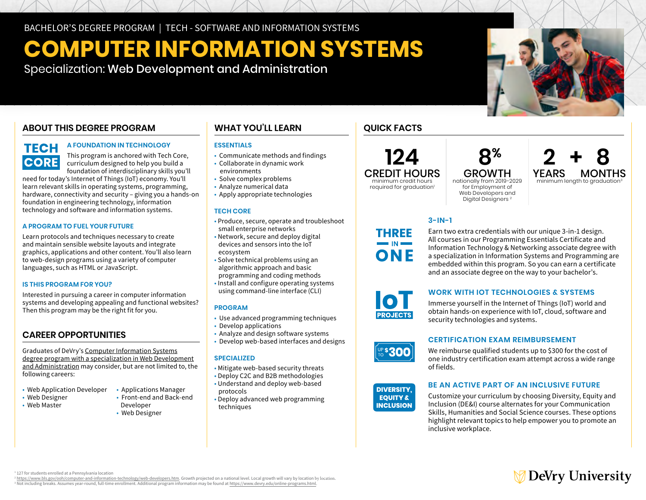BACHELOR'S DEGREE PROGRAM | TECH - SOFTWARE AND INFORMATION SYSTEMS

# **COMPUTER INFORMATION SYSTEMS**

Specialization: Web Development and Administration

## **ABOUT THIS DEGREE PROGRAM**

# **TECH CORE**

### **A FOUNDATION IN TECHNOLOGY**

This program is anchored with Tech Core, curriculum designed to help you build a foundation of interdisciplinary skills you'll

need for today's Internet of Things (IoT) economy. You'll learn relevant skills in operating systems, programming, hardware, connectivity and security – giving you a hands-on foundation in engineering technology, information technology and software and information systems.

### **A PROGRAM TO FUEL YOUR FUTURE**

Learn protocols and techniques necessary to create and maintain sensible website layouts and integrate graphics, applications and other content. You'll also learn to web-design programs using a variety of computer languages, such as HTML or JavaScript.

### **IS THIS PROGRAM FOR YOU?**

Interested in pursuing a career in computer information systems and developing appealing and functional websites? Then this program may be the right fit for you.

### **CAREER OPPORTUNITIES**

Graduates of DeVry's [Computer Information Systems](https://www.devry.edu/online-programs/bachelors-degrees/computer-information-systems/web-development-and-administration-specialization.html)  [degree program with a specialization in Web Development](https://www.devry.edu/online-programs/bachelors-degrees/computer-information-systems/web-development-and-administration-specialization.html)  [and Administration](https://www.devry.edu/online-programs/bachelors-degrees/computer-information-systems/web-development-and-administration-specialization.html) may consider, but are not limited to, the following careers:

- Web Application Developer Applications Manager
- 
- $\cdot$  Web Master
- 
- Web Designer Front-end and Back-end
	- Web Designer

### **WHAT YOU'LL LEARN**

### **ESSENTIALS**

- Communicate methods and findings
- Collaborate in dynamic work
- environments • Solve complex problems
- Analyze numerical data
- 
- Apply appropriate technologies

#### **TECH CORE**

- Produce, secure, operate and troubleshoot
- small enterprise networks
- Network, secure and deploy digital devices and sensors into the IoT ecosystem
- Solve technical problems using an algorithmic approach and basic programming and coding methods
- Install and configure operating systems using command-line interface (CLI)

### **PROGRAM**

- Use advanced programming techniques
- Develop applications
- Analyze and design software systems
- Develop web-based interfaces and designs

### **SPECIALIZED**

- Mitigate web-based security threats
- Deploy C2C and B2B methodologies • Understand and deploy web-based
- protocols
- Deploy advanced web programming techniques

### **QUICK FACTS**

# **124**

CREDIT HOURS minimum credit hours required for graduation<sup>1</sup>

nationally from 2019-2029 for Employment of Web Developers and Digital Designers 2

# $8<sup>%</sup>$  **2 + 8**<br>GROWTH YEARS MONTHS GROWTH YEARS MONTHS<br>onally from 2019-2029 minimum length to graduation<sup>3</sup>

**3-IN-1** 

Earn two extra credentials with our unique 3-in-1 design. All courses in our Programming Essentials Certificate and Information Technology & Networking associate degree with a specialization in Information Systems and Programming are embedded within this program. So you can earn a certificate and an associate degree on the way to your bachelor's.



**THREE** 

ONF

### **WORK WITH IOT TECHNOLOGIES & SYSTEMS**

Immerse yourself in the Internet of Things (IoT) world and obtain hands-on experience with IoT, cloud, software and security technologies and systems.



### **CERTIFICATION EXAM REIMBURSEMENT**

We reimburse qualified students up to \$300 for the cost of one industry certification exam attempt across a wide range of fields.



### **BE AN ACTIVE PART OF AN INCLUSIVE FUTURE**

Customize your curriculum by choosing Diversity, Equity and Inclusion (DE&I) course alternates for your Communication Skills, Humanities and Social Science courses. These options highlight relevant topics to help empower you to promote an inclusive workplace.

1 127 for students enrolled at a Pennsylvania location

<sup>2</sup> https://www.bls.gov/ooh/computer-and-information-technology/web-developers.htm. Growth projected on a national level. Local growth will vary by location.<br>3 Not including breaks, Assumes vear-round, full-time enrollment <sup>3</sup> Not including breaks. Assumes year-round, full-time enrollment. Additional program information may be found at<https://www.devry.edu/online-programs.html>

# **DeVry University**